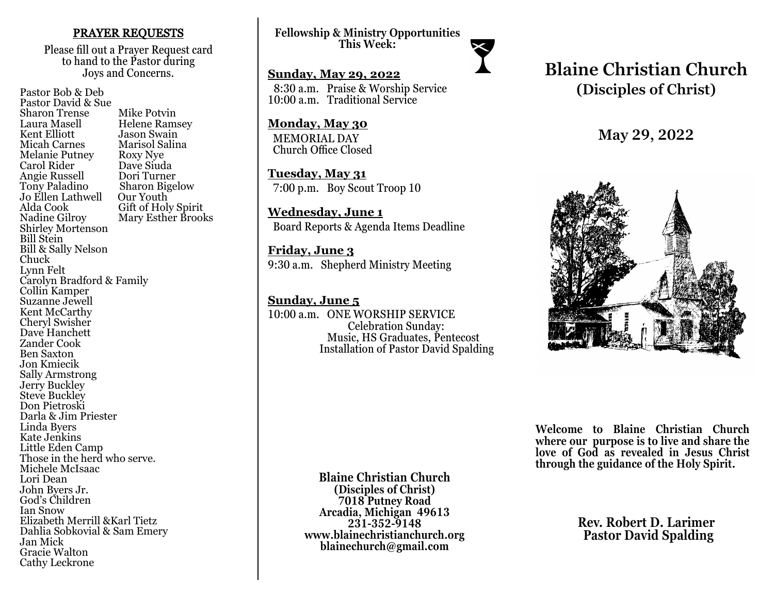### PRAYER REQUESTS

Please fill out a Prayer Request card to hand to the Pastor during Joys and Concerns.

Pastor Bob & Deb Pastor David & Sue Sharon Trense Mike Potvin<br>Laura Masell Helene Ram Laura Masell Helene Ramsey<br>Kent Elliott Hason Swain Kent Elliott Jason Swain<br>
Micah Carnes Marisol Salir Marisol Salina<br>Roxy Nye Melanie Putney Roxy Nye<br>Carol Rider Dave Siuda Carol Rider Dave Siuda Angie Russell<br>Tony Paladino Sharon Bigelow<br>Our Youth Jo Ellen Lathwell<br>Alda Cook Alda Cook Gift of Holy Spirit<br>Nadine Gilroy Mary Esther Brool Mary Esther Brooks Shirley Mortenson Bill Stein Bill & Sally Nelson Chuck Lynn Felt Carolyn Bradford & Family Collin Kamper Suzanne Jewell Kent McCarthy Cheryl Swisher Dave Hanchett Zander Cook Ben Saxton Jon Kmiecik Sally Armstrong Jerry Buckley Steve Buckley Don Pietroski Darla & Jim Priester Linda Byers Kate Jenkins Little Eden Camp Those in the herd who serve. Michele McIsaac Lori Dean John Byers Jr. God's Children Ian Snow Elizabeth Merrill &Karl Tietz Dahlia Sobkovial & Sam Emery Jan Mick Gracie Walton Cathy Leckrone

**Fellowship & Ministry Opportunities This Week:**

**Sunday, May 29, 2022** 8:30 a.m. Praise & Worship Service 10:00 a.m. Traditional Service

**Monday, May 30** MEMORIAL DAY Church Office Closed

**Tuesday, May 31** 7:00 p.m. Boy Scout Troop 10

**Wednesday, June 1** Board Reports & Agenda Items Deadline

**Friday, June 3** 9:30 a.m. Shepherd Ministry Meeting

**Sunday, June 5** 10:00 a.m. ONE WORSHIP SERVICE Celebration Sunday: Music, HS Graduates, Pentecost Installation of Pastor David Spalding

# **Blaine Christian Church (Disciples of Christ)**

**May 29, 2022**



**Welcome to Blaine Christian Church where our purpose is to live and share the love of God as revealed in Jesus Christ through the guidance of the Holy Spirit.**

> **Rev. Robert D. Larimer Pastor David Spalding**

**Blaine Christian Church (Disciples of Christ) 7018 Putney Road Arcadia, Michigan 49613 231-352-9148 www.blainechristianchurch.org blainechurch@gmail.com**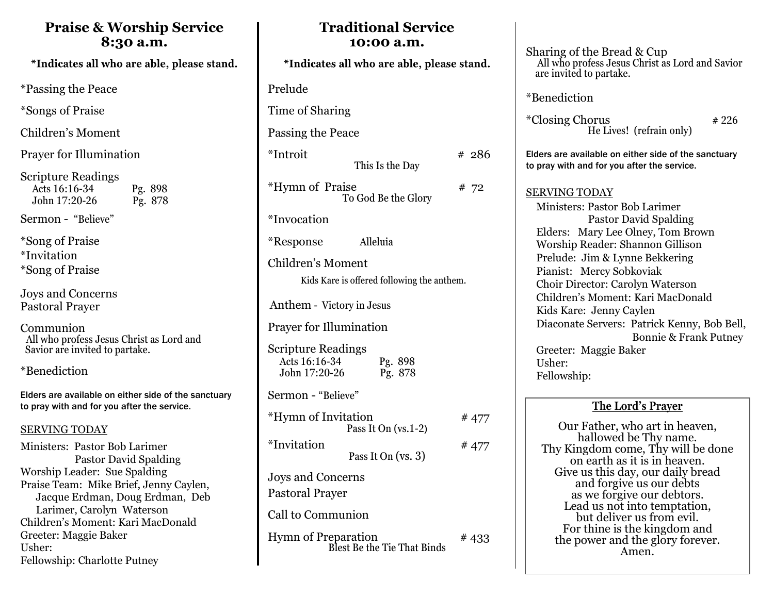## **Praise & Worship Service 8:30 a.m.**

\*Indicates all who are able, please stand.

\*Passing the Peace

\*Songs of Praise

Children's Moment

Prayer for Illumination

Scripture Readings Acts 16:16-34 Pg. 898<br>John 17:20-26 Pg. 878  $John$  17:20-26

Sermon - "Believe"

\*Song of Praise \*Invitation \*Song of Praise

Joys and Concerns Pastoral Prayer

Communion All who profess Jesus Christ as Lord and Savior are invited to partake.

\*Benediction

Elders are available on either side of the sanctuary to pray with and for you after the service.

## SERVING TODAY

Ministers: Pastor Bob Larimer Pastor David Spalding Worship Leader: Sue Spalding Praise Team: Mike Brief, Jenny Caylen, Jacque Erdman, Doug Erdman, Deb Larimer, Carolyn Waterson Children's Moment: Kari MacDonald Greeter: Maggie Baker Usher: Fellowship: Charlotte Putney

| *Indicates all who are able, please stand.                      |                                                    |       |
|-----------------------------------------------------------------|----------------------------------------------------|-------|
| Prelude                                                         |                                                    |       |
| Time of Sharing                                                 |                                                    |       |
| Passing the Peace                                               |                                                    |       |
| *Introit                                                        | This Is the Day                                    | # 286 |
| *Hymn of Praise                                                 | To God Be the Glory                                | # 72  |
| <i>*Invocation</i>                                              |                                                    |       |
| <i>*</i> Response                                               | Alleluia                                           |       |
| Children's Moment<br>Kids Kare is offered following the anthem. |                                                    |       |
| Anthem - Victory in Jesus                                       |                                                    |       |
| <b>Prayer for Illumination</b>                                  |                                                    |       |
| <b>Scripture Readings</b><br>Acts 16:16-34<br>John 17:20-26     | Pg. 898<br>Pg. 878                                 |       |
| Sermon - "Believe"                                              |                                                    |       |
| *Hymn of Invitation                                             | Pass It On (vs.1-2)                                | # 477 |
| *Invitation                                                     | Pass It On (vs. 3)                                 | #477  |
| Joys and Concerns<br>Pastoral Prayer                            |                                                    |       |
| Call to Communion                                               |                                                    |       |
|                                                                 | Hymn of Preparation<br>Blest Be the Tie That Binds | #433  |

**Traditional Service 10:00 a.m.** 

| Sharing of the Bread & Cup<br>All who profess Jesus Christ as Lord and Savior<br>are invited to partake. |  |  |
|----------------------------------------------------------------------------------------------------------|--|--|
| *Benediction                                                                                             |  |  |
| <i>*</i> Closing Chorus<br># 226<br>He Lives! (refrain only)                                             |  |  |
| Elders are available on either side of the sanctuary<br>to pray with and for you after the service.      |  |  |
| <b>SERVING TODAY</b>                                                                                     |  |  |
| Ministers: Pastor Bob Larimer                                                                            |  |  |
| <b>Pastor David Spalding</b>                                                                             |  |  |
| Elders: Mary Lee Olney, Tom Brown                                                                        |  |  |
| Worship Reader: Shannon Gillison                                                                         |  |  |
| Prelude: Jim & Lynne Bekkering                                                                           |  |  |
| Pianist: Mercy Sobkoviak                                                                                 |  |  |
| Choir Director: Carolyn Waterson                                                                         |  |  |
| Children's Moment: Kari MacDonald                                                                        |  |  |
| Kids Kare: Jenny Caylen                                                                                  |  |  |
| Diaconate Servers: Patrick Kenny, Bob Bell,                                                              |  |  |
| <b>Bonnie &amp; Frank Putney</b>                                                                         |  |  |
| Greeter: Maggie Baker                                                                                    |  |  |
| Usher:                                                                                                   |  |  |
| Fellowship:                                                                                              |  |  |
|                                                                                                          |  |  |

## **The Lord's Prayer**

Our Father, who art in heaven, hallowed be Thy name. Thy Kingdom come, Thy will be done on earth as it is in heaven. Give us this day, our daily bread and forgive us our debts as we forgive our debtors. Lead us not into temptation, but deliver us from evil. For thine is the kingdom and the power and the glory forever. Amen.